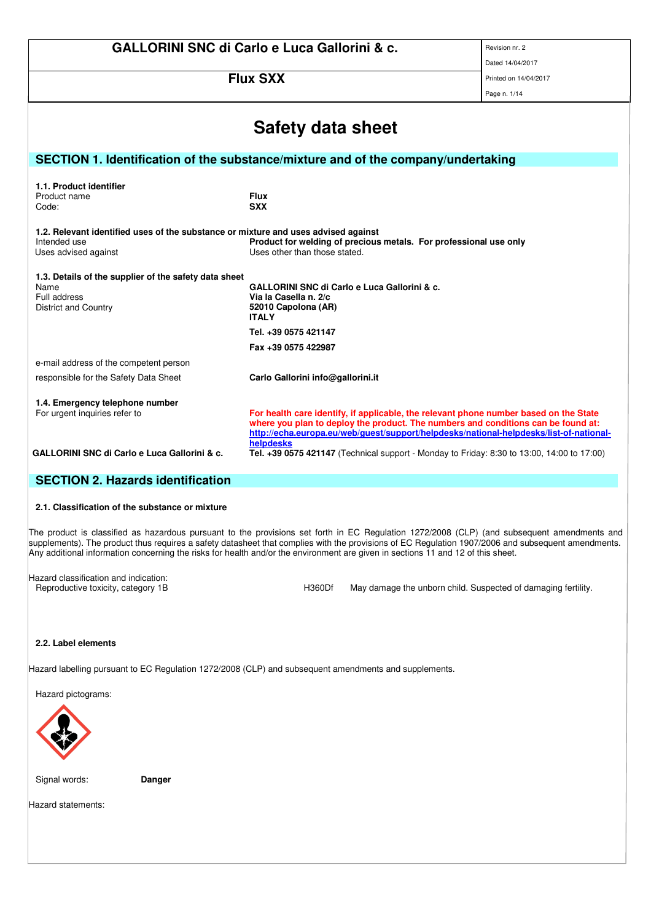|                                                                                    | <b>GALLORINI SNC di Carlo e Luca Gallorini &amp; c.</b>                                                                                                                    | Revision nr. 2        |  |  |  |
|------------------------------------------------------------------------------------|----------------------------------------------------------------------------------------------------------------------------------------------------------------------------|-----------------------|--|--|--|
|                                                                                    | Dated 14/04/2017                                                                                                                                                           |                       |  |  |  |
|                                                                                    | <b>Flux SXX</b>                                                                                                                                                            | Printed on 14/04/2017 |  |  |  |
|                                                                                    |                                                                                                                                                                            | Page n. 1/14          |  |  |  |
|                                                                                    |                                                                                                                                                                            |                       |  |  |  |
|                                                                                    | Safety data sheet                                                                                                                                                          |                       |  |  |  |
| SECTION 1. Identification of the substance/mixture and of the company/undertaking  |                                                                                                                                                                            |                       |  |  |  |
| 1.1. Product identifier                                                            |                                                                                                                                                                            |                       |  |  |  |
| Product name                                                                       | <b>Flux</b>                                                                                                                                                                |                       |  |  |  |
| Code:                                                                              | <b>SXX</b>                                                                                                                                                                 |                       |  |  |  |
| 1.2. Relevant identified uses of the substance or mixture and uses advised against |                                                                                                                                                                            |                       |  |  |  |
| Intended use                                                                       | Product for welding of precious metals. For professional use only                                                                                                          |                       |  |  |  |
| Uses advised against                                                               | Uses other than those stated.                                                                                                                                              |                       |  |  |  |
| 1.3. Details of the supplier of the safety data sheet                              |                                                                                                                                                                            |                       |  |  |  |
| Name                                                                               | <b>GALLORINI SNC di Carlo e Luca Gallorini &amp; c.</b>                                                                                                                    |                       |  |  |  |
| Full address<br><b>District and Country</b>                                        | Via la Casella n. 2/c<br>52010 Capolona (AR)                                                                                                                               |                       |  |  |  |
|                                                                                    | <b>ITALY</b>                                                                                                                                                               |                       |  |  |  |
|                                                                                    | Tel. +39 0575 421147                                                                                                                                                       |                       |  |  |  |
|                                                                                    | Fax +39 0575 422987                                                                                                                                                        |                       |  |  |  |
| e-mail address of the competent person                                             |                                                                                                                                                                            |                       |  |  |  |
| responsible for the Safety Data Sheet                                              | Carlo Gallorini info@gallorini.it                                                                                                                                          |                       |  |  |  |
| 1.4. Emergency telephone number                                                    |                                                                                                                                                                            |                       |  |  |  |
| For urgent inquiries refer to                                                      | For health care identify, if applicable, the relevant phone number based on the State<br>where you plan to deploy the product. The numbers and conditions can be found at: |                       |  |  |  |
|                                                                                    | http://echa.europa.eu/web/guest/support/helpdesks/national-helpdesks/list-of-national-                                                                                     |                       |  |  |  |
| <b>GALLORINI SNC di Carlo e Luca Gallorini &amp; c.</b>                            | helpdesks<br>Tel. +39 0575 421147 (Technical support - Monday to Friday: 8:30 to 13:00, 14:00 to 17:00)                                                                    |                       |  |  |  |

# **SECTION 2. Hazards identification**

## **2.1. Classification of the substance or mixture**

The product is classified as hazardous pursuant to the provisions set forth in EC Regulation 1272/2008 (CLP) (and subsequent amendments and supplements). The product thus requires a safety datasheet that complies with the provisions of EC Regulation 1907/2006 and subsequent amendments. Any additional information concerning the risks for health and/or the environment are given in sections 11 and 12 of this sheet.

Hazard classification and indication:<br>Reproductive toxicity, category 1B

H360Df May damage the unborn child. Suspected of damaging fertility.

# **2.2. Label elements**

Hazard labelling pursuant to EC Regulation 1272/2008 (CLP) and subsequent amendments and supplements.

Hazard pictograms:



Signal words: **Danger**

Hazard statements: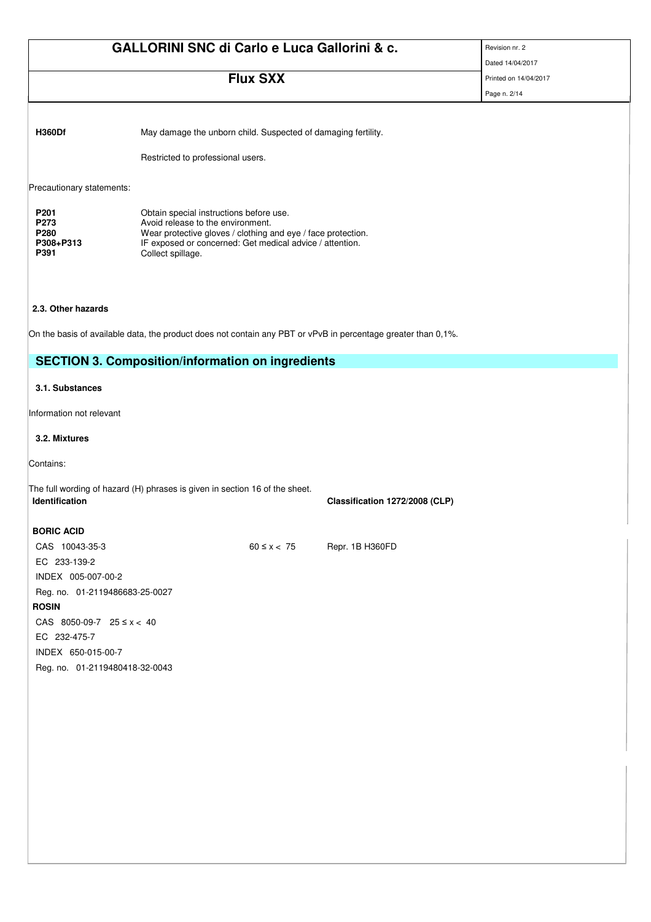| <b>Flux SXX</b>                |                               |                                                                                                                                                                                                                      | Dated 14/04/2017                                                                                                                                                                                                                                                                                                                                                       |
|--------------------------------|-------------------------------|----------------------------------------------------------------------------------------------------------------------------------------------------------------------------------------------------------------------|------------------------------------------------------------------------------------------------------------------------------------------------------------------------------------------------------------------------------------------------------------------------------------------------------------------------------------------------------------------------|
|                                |                               |                                                                                                                                                                                                                      | Printed on 14/04/2017                                                                                                                                                                                                                                                                                                                                                  |
|                                |                               |                                                                                                                                                                                                                      | Page n. 2/14                                                                                                                                                                                                                                                                                                                                                           |
|                                |                               |                                                                                                                                                                                                                      |                                                                                                                                                                                                                                                                                                                                                                        |
|                                |                               |                                                                                                                                                                                                                      |                                                                                                                                                                                                                                                                                                                                                                        |
|                                |                               |                                                                                                                                                                                                                      |                                                                                                                                                                                                                                                                                                                                                                        |
|                                |                               |                                                                                                                                                                                                                      |                                                                                                                                                                                                                                                                                                                                                                        |
|                                |                               |                                                                                                                                                                                                                      |                                                                                                                                                                                                                                                                                                                                                                        |
|                                |                               |                                                                                                                                                                                                                      |                                                                                                                                                                                                                                                                                                                                                                        |
|                                |                               |                                                                                                                                                                                                                      |                                                                                                                                                                                                                                                                                                                                                                        |
| Collect spillage.              |                               |                                                                                                                                                                                                                      |                                                                                                                                                                                                                                                                                                                                                                        |
|                                |                               |                                                                                                                                                                                                                      |                                                                                                                                                                                                                                                                                                                                                                        |
|                                |                               |                                                                                                                                                                                                                      |                                                                                                                                                                                                                                                                                                                                                                        |
|                                |                               |                                                                                                                                                                                                                      |                                                                                                                                                                                                                                                                                                                                                                        |
|                                |                               |                                                                                                                                                                                                                      |                                                                                                                                                                                                                                                                                                                                                                        |
|                                |                               |                                                                                                                                                                                                                      |                                                                                                                                                                                                                                                                                                                                                                        |
|                                |                               |                                                                                                                                                                                                                      |                                                                                                                                                                                                                                                                                                                                                                        |
|                                |                               |                                                                                                                                                                                                                      |                                                                                                                                                                                                                                                                                                                                                                        |
|                                |                               |                                                                                                                                                                                                                      |                                                                                                                                                                                                                                                                                                                                                                        |
|                                |                               |                                                                                                                                                                                                                      |                                                                                                                                                                                                                                                                                                                                                                        |
|                                |                               | Classification 1272/2008 (CLP)                                                                                                                                                                                       |                                                                                                                                                                                                                                                                                                                                                                        |
|                                |                               |                                                                                                                                                                                                                      |                                                                                                                                                                                                                                                                                                                                                                        |
|                                |                               | Repr. 1B H360FD                                                                                                                                                                                                      |                                                                                                                                                                                                                                                                                                                                                                        |
|                                |                               |                                                                                                                                                                                                                      |                                                                                                                                                                                                                                                                                                                                                                        |
|                                |                               |                                                                                                                                                                                                                      |                                                                                                                                                                                                                                                                                                                                                                        |
| Reg. no. 01-2119486683-25-0027 |                               |                                                                                                                                                                                                                      |                                                                                                                                                                                                                                                                                                                                                                        |
|                                |                               |                                                                                                                                                                                                                      |                                                                                                                                                                                                                                                                                                                                                                        |
|                                |                               |                                                                                                                                                                                                                      |                                                                                                                                                                                                                                                                                                                                                                        |
|                                |                               |                                                                                                                                                                                                                      |                                                                                                                                                                                                                                                                                                                                                                        |
| Reg. no. 01-2119480418-32-0043 |                               |                                                                                                                                                                                                                      |                                                                                                                                                                                                                                                                                                                                                                        |
|                                | CAS 8050-09-7 $25 \le x < 40$ | Restricted to professional users.<br>Obtain special instructions before use.<br>Avoid release to the environment.<br>The full wording of hazard (H) phrases is given in section 16 of the sheet.<br>$60 \leq x < 75$ | May damage the unborn child. Suspected of damaging fertility.<br>Wear protective gloves / clothing and eye / face protection.<br>IF exposed or concerned: Get medical advice / attention.<br>On the basis of available data, the product does not contain any PBT or vPvB in percentage greater than 0,1%.<br><b>SECTION 3. Composition/information on ingredients</b> |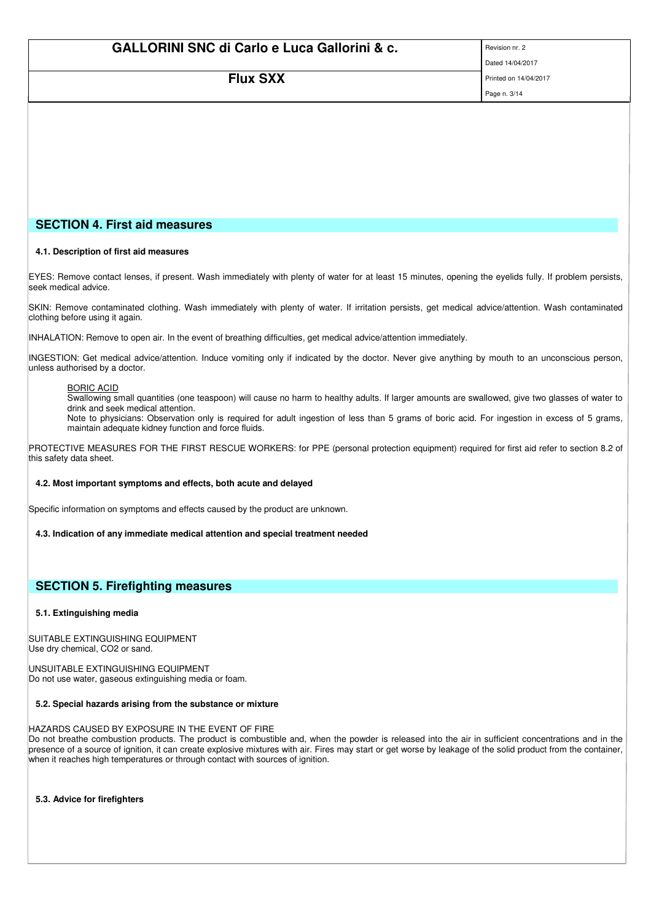| <b>GALLORINI SNC di Carlo e Luca Gallorini &amp; c.</b> | Revision nr. 2   |
|---------------------------------------------------------|------------------|
|                                                         | Dated 14/04/2017 |

**FILIX SXX** Printed on 14/04/2017

Page n. 3/14

# **SECTION 4. First aid measures**

## **4.1. Description of first aid measures**

EYES: Remove contact lenses, if present. Wash immediately with plenty of water for at least 15 minutes, opening the eyelids fully. If problem persists, seek medical advice.

SKIN: Remove contaminated clothing. Wash immediately with plenty of water. If irritation persists, get medical advice/attention. Wash contaminated clothing before using it again.

INHALATION: Remove to open air. In the event of breathing difficulties, get medical advice/attention immediately.

INGESTION: Get medical advice/attention. Induce vomiting only if indicated by the doctor. Never give anything by mouth to an unconscious person, unless authorised by a doctor.

## BORIC ACID

Swallowing small quantities (one teaspoon) will cause no harm to healthy adults. If larger amounts are swallowed, give two glasses of water to drink and seek medical attention.

Note to physicians: Observation only is required for adult ingestion of less than 5 grams of boric acid. For ingestion in excess of 5 grams, maintain adequate kidney function and force fluids.

PROTECTIVE MEASURES FOR THE FIRST RESCUE WORKERS: for PPE (personal protection equipment) required for first aid refer to section 8.2 of this safety data sheet.

# **4.2. Most important symptoms and effects, both acute and delayed**

Specific information on symptoms and effects caused by the product are unknown.

**4.3. Indication of any immediate medical attention and special treatment needed**

# **SECTION 5. Firefighting measures**

#### **5.1. Extinguishing media**

SUITABLE EXTINGUISHING EQUIPMENT Use dry chemical, CO2 or sand.

UNSUITABLE EXTINGUISHING EQUIPMENT Do not use water, gaseous extinguishing media or foam.

# **5.2. Special hazards arising from the substance or mixture**

HAZARDS CAUSED BY EXPOSURE IN THE EVENT OF FIRE

Do not breathe combustion products. The product is combustible and, when the powder is released into the air in sufficient concentrations and in the presence of a source of ignition, it can create explosive mixtures with air. Fires may start or get worse by leakage of the solid product from the container, when it reaches high temperatures or through contact with sources of ignition.

**5.3. Advice for firefighters**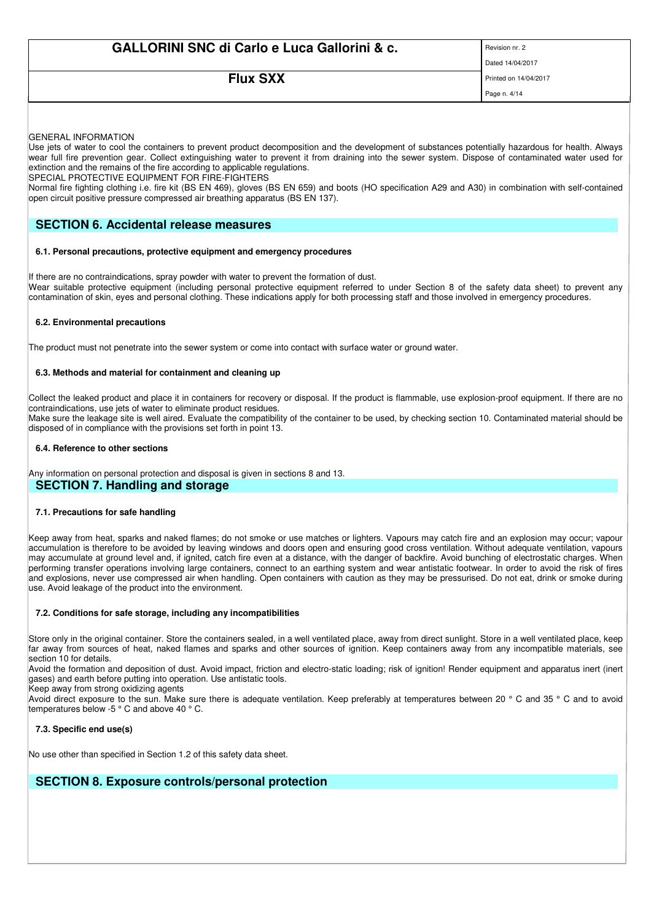# **FILIX SXX** Printed on 14/04/2017

Page n. 4/14

GENERAL INFORMATION

Use jets of water to cool the containers to prevent product decomposition and the development of substances potentially hazardous for health. Always wear full fire prevention gear. Collect extinguishing water to prevent it from draining into the sewer system. Dispose of contaminated water used for extinction and the remains of the fire according to applicable regulations.

SPECIAL PROTECTIVE EQUIPMENT FOR FIRE-FIGHTERS

Normal fire fighting clothing i.e. fire kit (BS EN 469), gloves (BS EN 659) and boots (HO specification A29 and A30) in combination with self-contained open circuit positive pressure compressed air breathing apparatus (BS EN 137).

# **SECTION 6. Accidental release measures**

## **6.1. Personal precautions, protective equipment and emergency procedures**

If there are no contraindications, spray powder with water to prevent the formation of dust. Wear suitable protective equipment (including personal protective equipment referred to under Section 8 of the safety data sheet) to prevent any contamination of skin, eyes and personal clothing. These indications apply for both processing staff and those involved in emergency procedures.

# **6.2. Environmental precautions**

The product must not penetrate into the sewer system or come into contact with surface water or ground water.

## **6.3. Methods and material for containment and cleaning up**

Collect the leaked product and place it in containers for recovery or disposal. If the product is flammable, use explosion-proof equipment. If there are no contraindications, use jets of water to eliminate product residues.

Make sure the leakage site is well aired. Evaluate the compatibility of the container to be used, by checking section 10. Contaminated material should be disposed of in compliance with the provisions set forth in point 13.

## **6.4. Reference to other sections**

Any information on personal protection and disposal is given in sections 8 and 13. **SECTION 7. Handling and storage**

# **7.1. Precautions for safe handling**

Keep away from heat, sparks and naked flames; do not smoke or use matches or lighters. Vapours may catch fire and an explosion may occur; vapour accumulation is therefore to be avoided by leaving windows and doors open and ensuring good cross ventilation. Without adequate ventilation, vapours may accumulate at ground level and, if ignited, catch fire even at a distance, with the danger of backfire. Avoid bunching of electrostatic charges. When performing transfer operations involving large containers, connect to an earthing system and wear antistatic footwear. In order to avoid the risk of fires and explosions, never use compressed air when handling. Open containers with caution as they may be pressurised. Do not eat, drink or smoke during use. Avoid leakage of the product into the environment.

#### **7.2. Conditions for safe storage, including any incompatibilities**

Store only in the original container. Store the containers sealed, in a well ventilated place, away from direct sunlight. Store in a well ventilated place, keep far away from sources of heat, naked flames and sparks and other sources of ignition. Keep containers away from any incompatible materials, see section 10 for details.

Avoid the formation and deposition of dust. Avoid impact, friction and electro-static loading; risk of ignition! Render equipment and apparatus inert (inert gases) and earth before putting into operation. Use antistatic tools.

Keep away from strong oxidizing agents

Avoid direct exposure to the sun. Make sure there is adequate ventilation. Keep preferably at temperatures between 20 ° C and 35 ° C and to avoid temperatures below -5 ° C and above 40 ° C.

# **7.3. Specific end use(s)**

No use other than specified in Section 1.2 of this safety data sheet.

# **SECTION 8. Exposure controls/personal protection**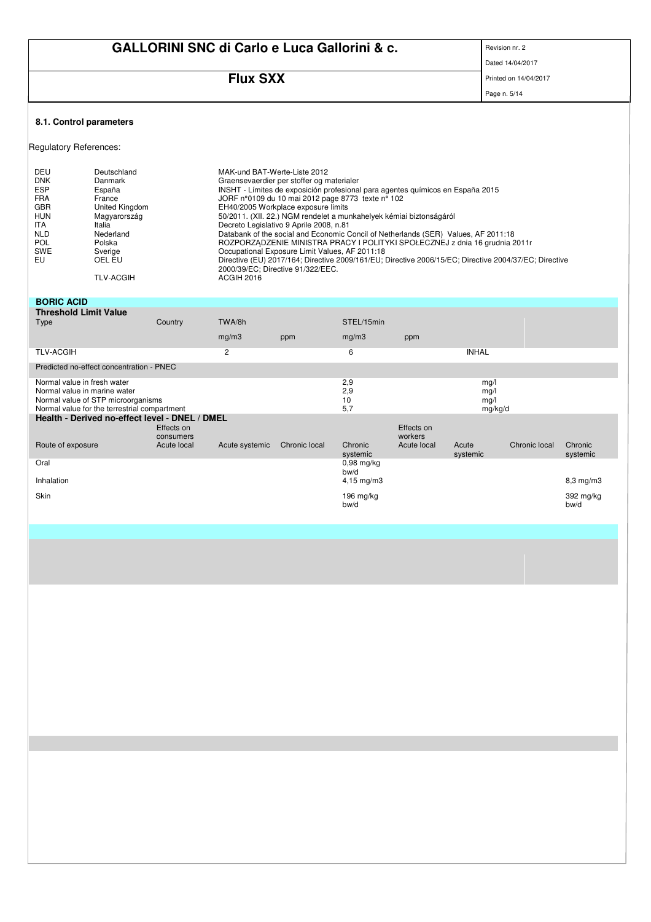|                                                                                                                                         |                                                                                                                                                        |                                        |                                            |                                                                                                                                                                                                                                                                                                                                                                                                                                                                                                                                                                                                                                                                                                                |                          |                        |                                 | Revision nr. 2        |                   |
|-----------------------------------------------------------------------------------------------------------------------------------------|--------------------------------------------------------------------------------------------------------------------------------------------------------|----------------------------------------|--------------------------------------------|----------------------------------------------------------------------------------------------------------------------------------------------------------------------------------------------------------------------------------------------------------------------------------------------------------------------------------------------------------------------------------------------------------------------------------------------------------------------------------------------------------------------------------------------------------------------------------------------------------------------------------------------------------------------------------------------------------------|--------------------------|------------------------|---------------------------------|-----------------------|-------------------|
|                                                                                                                                         | <b>GALLORINI SNC di Carlo e Luca Gallorini &amp; c.</b>                                                                                                |                                        |                                            |                                                                                                                                                                                                                                                                                                                                                                                                                                                                                                                                                                                                                                                                                                                | Dated 14/04/2017         |                        |                                 |                       |                   |
|                                                                                                                                         |                                                                                                                                                        |                                        |                                            |                                                                                                                                                                                                                                                                                                                                                                                                                                                                                                                                                                                                                                                                                                                |                          |                        |                                 |                       |                   |
|                                                                                                                                         |                                                                                                                                                        |                                        | <b>Flux SXX</b>                            |                                                                                                                                                                                                                                                                                                                                                                                                                                                                                                                                                                                                                                                                                                                |                          |                        |                                 | Printed on 14/04/2017 |                   |
|                                                                                                                                         |                                                                                                                                                        |                                        |                                            |                                                                                                                                                                                                                                                                                                                                                                                                                                                                                                                                                                                                                                                                                                                |                          |                        |                                 | Page n. 5/14          |                   |
| 8.1. Control parameters                                                                                                                 |                                                                                                                                                        |                                        |                                            |                                                                                                                                                                                                                                                                                                                                                                                                                                                                                                                                                                                                                                                                                                                |                          |                        |                                 |                       |                   |
| <b>Regulatory References:</b>                                                                                                           |                                                                                                                                                        |                                        |                                            |                                                                                                                                                                                                                                                                                                                                                                                                                                                                                                                                                                                                                                                                                                                |                          |                        |                                 |                       |                   |
| DEU<br><b>DNK</b><br><b>ESP</b><br><b>FRA</b><br><b>GBR</b><br><b>HUN</b><br><b>ITA</b><br><b>NLD</b><br><b>POL</b><br><b>SWE</b><br>EU | Deutschland<br>Danmark<br>España<br>France<br>United Kingdom<br>Magyarország<br>Italia<br>Nederland<br>Polska<br>Sverige<br>OEL EU<br><b>TLV-ACGIH</b> |                                        | MAK-und BAT-Werte-Liste 2012<br>ACGIH 2016 | Graensevaerdier per stoffer og materialer<br>INSHT - Límites de exposición profesional para agentes químicos en España 2015<br>JORF n°0109 du 10 mai 2012 page 8773 texte n° 102<br>EH40/2005 Workplace exposure limits<br>50/2011. (XII. 22.) NGM rendelet a munkahelyek kémiai biztonságáról<br>Decreto Legislativo 9 Aprile 2008, n.81<br>Databank of the social and Economic Concil of Netherlands (SER) Values, AF 2011:18<br>ROZPORZĄDZENIE MINISTRA PRACY I POLITYKI SPOŁECZNEJ z dnia 16 grudnia 2011r<br>Occupational Exposure Limit Values, AF 2011:18<br>Directive (EU) 2017/164; Directive 2009/161/EU; Directive 2006/15/EC; Directive 2004/37/EC; Directive<br>2000/39/EC; Directive 91/322/EEC. |                          |                        |                                 |                       |                   |
| <b>BORIC ACID</b>                                                                                                                       |                                                                                                                                                        |                                        |                                            |                                                                                                                                                                                                                                                                                                                                                                                                                                                                                                                                                                                                                                                                                                                |                          |                        |                                 |                       |                   |
| <b>Threshold Limit Value</b>                                                                                                            |                                                                                                                                                        |                                        |                                            |                                                                                                                                                                                                                                                                                                                                                                                                                                                                                                                                                                                                                                                                                                                |                          |                        |                                 |                       |                   |
| Type                                                                                                                                    |                                                                                                                                                        | Country                                | TWA/8h                                     |                                                                                                                                                                                                                                                                                                                                                                                                                                                                                                                                                                                                                                                                                                                | STEL/15min               |                        |                                 |                       |                   |
|                                                                                                                                         |                                                                                                                                                        |                                        | mg/m3                                      | ppm                                                                                                                                                                                                                                                                                                                                                                                                                                                                                                                                                                                                                                                                                                            | mg/m3                    | ppm                    |                                 |                       |                   |
| <b>TLV-ACGIH</b>                                                                                                                        |                                                                                                                                                        |                                        | $\overline{c}$                             |                                                                                                                                                                                                                                                                                                                                                                                                                                                                                                                                                                                                                                                                                                                | 6                        |                        | <b>INHAL</b>                    |                       |                   |
|                                                                                                                                         | Predicted no-effect concentration - PNEC                                                                                                               |                                        |                                            |                                                                                                                                                                                                                                                                                                                                                                                                                                                                                                                                                                                                                                                                                                                |                          |                        |                                 |                       |                   |
| Normal value in fresh water<br>Normal value in marine water                                                                             | Normal value of STP microorganisms<br>Normal value for the terrestrial compartment                                                                     |                                        |                                            |                                                                                                                                                                                                                                                                                                                                                                                                                                                                                                                                                                                                                                                                                                                | 2,9<br>2,9<br>10<br>5.7  |                        | mq/l<br>ma/l<br>mq/l<br>mg/kg/d |                       |                   |
|                                                                                                                                         | Health - Derived no-effect level - DNEL / DMEL                                                                                                         |                                        |                                            |                                                                                                                                                                                                                                                                                                                                                                                                                                                                                                                                                                                                                                                                                                                |                          | Effects on             |                                 |                       |                   |
| Route of exposure                                                                                                                       |                                                                                                                                                        | Effects on<br>consumers<br>Acute local | Acute systemic                             | Chronic local                                                                                                                                                                                                                                                                                                                                                                                                                                                                                                                                                                                                                                                                                                  | Chronic                  | workers<br>Acute local | Acute                           | Chronic local         | Chronic           |
| Oral                                                                                                                                    |                                                                                                                                                        |                                        |                                            |                                                                                                                                                                                                                                                                                                                                                                                                                                                                                                                                                                                                                                                                                                                | systemic<br>$0.98$ mg/kg |                        | systemic                        |                       | systemic          |
| Inhalation                                                                                                                              |                                                                                                                                                        |                                        |                                            |                                                                                                                                                                                                                                                                                                                                                                                                                                                                                                                                                                                                                                                                                                                | bw/d<br>4,15 mg/m3       |                        |                                 |                       | $8,3$ mg/m $3$    |
| Skin                                                                                                                                    |                                                                                                                                                        |                                        |                                            |                                                                                                                                                                                                                                                                                                                                                                                                                                                                                                                                                                                                                                                                                                                | 196 mg/kg<br>bw/d        |                        |                                 |                       | 392 mg/kg<br>bw/d |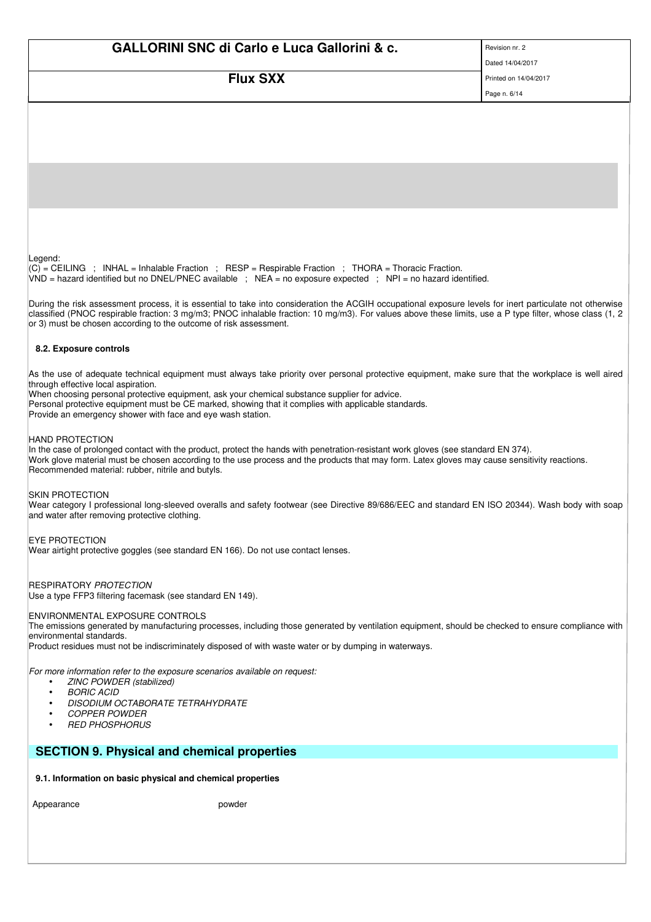| <b>GALLORINI SNC di Carlo e Luca Gallorini &amp; c.</b>                                                                                                                                                                                                                                                               | Revision nr. 2        |
|-----------------------------------------------------------------------------------------------------------------------------------------------------------------------------------------------------------------------------------------------------------------------------------------------------------------------|-----------------------|
|                                                                                                                                                                                                                                                                                                                       | Dated 14/04/2017      |
| <b>Flux SXX</b>                                                                                                                                                                                                                                                                                                       | Printed on 14/04/2017 |
|                                                                                                                                                                                                                                                                                                                       | Page n. 6/14          |
|                                                                                                                                                                                                                                                                                                                       |                       |
|                                                                                                                                                                                                                                                                                                                       |                       |
|                                                                                                                                                                                                                                                                                                                       |                       |
|                                                                                                                                                                                                                                                                                                                       |                       |
|                                                                                                                                                                                                                                                                                                                       |                       |
|                                                                                                                                                                                                                                                                                                                       |                       |
|                                                                                                                                                                                                                                                                                                                       |                       |
|                                                                                                                                                                                                                                                                                                                       |                       |
| Legend:                                                                                                                                                                                                                                                                                                               |                       |
| (C) = CEILING ; INHAL = Inhalable Fraction ; RESP = Respirable Fraction ; THORA = Thoracic Fraction.<br>$VND$ = hazard identified but no DNEL/PNEC available ; NEA = no exposure expected ; NPI = no hazard identified.                                                                                               |                       |
|                                                                                                                                                                                                                                                                                                                       |                       |
| During the risk assessment process, it is essential to take into consideration the ACGIH occupational exposure levels for inert particulate not otherwise<br>classified (PNOC respirable fraction: 3 mg/m3; PNOC inhalable fraction: 10 mg/m3). For values above these limits, use a P type filter, whose class (1, 2 |                       |
| or 3) must be chosen according to the outcome of risk assessment.                                                                                                                                                                                                                                                     |                       |
| 8.2. Exposure controls                                                                                                                                                                                                                                                                                                |                       |
|                                                                                                                                                                                                                                                                                                                       |                       |
| As the use of adequate technical equipment must always take priority over personal protective equipment, make sure that the workplace is well aired<br>through effective local aspiration.                                                                                                                            |                       |
| When choosing personal protective equipment, ask your chemical substance supplier for advice.<br>Personal protective equipment must be CE marked, showing that it complies with applicable standards.                                                                                                                 |                       |
| Provide an emergency shower with face and eye wash station.                                                                                                                                                                                                                                                           |                       |
| <b>HAND PROTECTION</b>                                                                                                                                                                                                                                                                                                |                       |
| In the case of prolonged contact with the product, protect the hands with penetration-resistant work gloves (see standard EN 374).                                                                                                                                                                                    |                       |
| Work glove material must be chosen according to the use process and the products that may form. Latex gloves may cause sensitivity reactions.<br>Recommended material: rubber, nitrile and butyls.                                                                                                                    |                       |
|                                                                                                                                                                                                                                                                                                                       |                       |
| <b>SKIN PROTECTION</b><br>Wear category I professional long-sleeved overalls and safety footwear (see Directive 89/686/EEC and standard EN ISO 20344). Wash body with soap                                                                                                                                            |                       |
| and water after removing protective clothing.                                                                                                                                                                                                                                                                         |                       |
| <b>EYE PROTECTION</b>                                                                                                                                                                                                                                                                                                 |                       |
| Wear airtight protective goggles (see standard EN 166). Do not use contact lenses.                                                                                                                                                                                                                                    |                       |
|                                                                                                                                                                                                                                                                                                                       |                       |
| <b>RESPIRATORY PROTECTION</b><br>Use a type FFP3 filtering facemask (see standard EN 149).                                                                                                                                                                                                                            |                       |
|                                                                                                                                                                                                                                                                                                                       |                       |
| <b>ENVIRONMENTAL EXPOSURE CONTROLS</b><br>The emissions generated by manufacturing processes, including those generated by ventilation equipment, should be checked to ensure compliance with                                                                                                                         |                       |
| environmental standards.<br>Product residues must not be indiscriminately disposed of with waste water or by dumping in waterways.                                                                                                                                                                                    |                       |
|                                                                                                                                                                                                                                                                                                                       |                       |
| For more information refer to the exposure scenarios available on request:<br>ZINC POWDER (stabilized)<br>$\bullet$                                                                                                                                                                                                   |                       |
| <b>BORIC ACID</b><br>$\bullet$                                                                                                                                                                                                                                                                                        |                       |
| DISODIUM OCTABORATE TETRAHYDRATE<br>$\bullet$<br><b>COPPER POWDER</b><br>$\bullet$                                                                                                                                                                                                                                    |                       |
| <b>RED PHOSPHORUS</b>                                                                                                                                                                                                                                                                                                 |                       |
| <b>SECTION 9. Physical and chemical properties</b>                                                                                                                                                                                                                                                                    |                       |
|                                                                                                                                                                                                                                                                                                                       |                       |
| 9.1. Information on basic physical and chemical properties                                                                                                                                                                                                                                                            |                       |

Appearance **provided** powder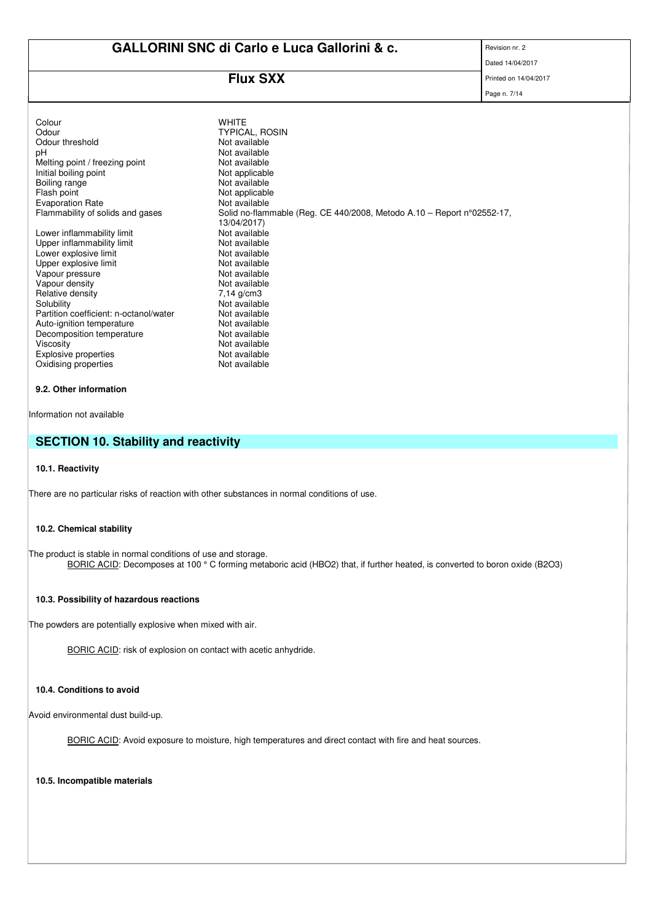# **Flux SXX** Printed on 14/04/2017

Page n. 7/14

| Colour<br>Odour<br>Odour threshold<br>рH<br>Melting point / freezing point<br>Initial boiling point<br>Boiling range<br>Flash point<br><b>Evaporation Rate</b><br>Flammability of solids and gases<br>Lower inflammability limit<br>Upper inflammability limit<br>Lower explosive limit<br>Upper explosive limit<br>Vapour pressure<br>Vapour density<br>Relative density<br>Solubility<br>Partition coefficient: n-octanol/water<br>Auto-ignition temperature<br>Decomposition temperature<br>Viscosity | <b>WHITE</b><br><b>TYPICAL, ROSIN</b><br>Not available<br>Not available<br>Not available<br>Not applicable<br>Not available<br>Not applicable<br>Not available<br>Solid no-flammable (Reg. CE 440/2008, Metodo A.10 - Report $n^{\circ}02552-17$ ,<br>13/04/2017)<br>Not available<br>Not available<br>Not available<br>Not available<br>Not available<br>Not available<br>$7.14 \text{ q/cm}3$<br>Not available<br>Not available<br>Not available<br>Not available<br>Not available |
|----------------------------------------------------------------------------------------------------------------------------------------------------------------------------------------------------------------------------------------------------------------------------------------------------------------------------------------------------------------------------------------------------------------------------------------------------------------------------------------------------------|--------------------------------------------------------------------------------------------------------------------------------------------------------------------------------------------------------------------------------------------------------------------------------------------------------------------------------------------------------------------------------------------------------------------------------------------------------------------------------------|
|                                                                                                                                                                                                                                                                                                                                                                                                                                                                                                          |                                                                                                                                                                                                                                                                                                                                                                                                                                                                                      |
|                                                                                                                                                                                                                                                                                                                                                                                                                                                                                                          |                                                                                                                                                                                                                                                                                                                                                                                                                                                                                      |
| Explosive properties                                                                                                                                                                                                                                                                                                                                                                                                                                                                                     | Not available                                                                                                                                                                                                                                                                                                                                                                                                                                                                        |
| Oxidising properties                                                                                                                                                                                                                                                                                                                                                                                                                                                                                     | Not available                                                                                                                                                                                                                                                                                                                                                                                                                                                                        |
|                                                                                                                                                                                                                                                                                                                                                                                                                                                                                                          |                                                                                                                                                                                                                                                                                                                                                                                                                                                                                      |

# **9.2. Other information**

Information not available

# **SECTION 10. Stability and reactivity**

### **10.1. Reactivity**

There are no particular risks of reaction with other substances in normal conditions of use.

## **10.2. Chemical stability**

The product is stable in normal conditions of use and storage. BORIC ACID: Decomposes at 100 ° C forming metaboric acid (HBO2) that, if further heated, is converted to boron oxide (B2O3)

### **10.3. Possibility of hazardous reactions**

The powders are potentially explosive when mixed with air.

BORIC ACID: risk of explosion on contact with acetic anhydride.

# **10.4. Conditions to avoid**

Avoid environmental dust build-up.

BORIC ACID: Avoid exposure to moisture, high temperatures and direct contact with fire and heat sources.

**10.5. Incompatible materials**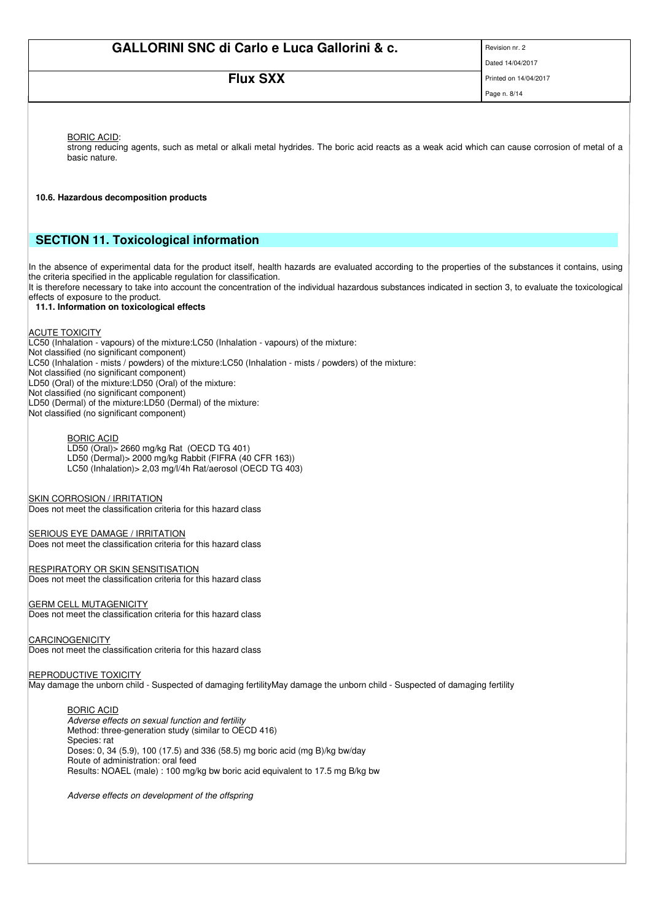# **FILIX SXX** Printed on 14/04/2017

Page n. 8/14

BORIC ACID:

strong reducing agents, such as metal or alkali metal hydrides. The boric acid reacts as a weak acid which can cause corrosion of metal of a basic nature.

**10.6. Hazardous decomposition products**

# **SECTION 11. Toxicological information**

In the absence of experimental data for the product itself, health hazards are evaluated according to the properties of the substances it contains, using the criteria specified in the applicable regulation for classification.

It is therefore necessary to take into account the concentration of the individual hazardous substances indicated in section 3, to evaluate the toxicological effects of exposure to the product.

# **11.1. Information on toxicological effects**

# ACUTE TOXICITY

LC50 (Inhalation - vapours) of the mixture:LC50 (Inhalation - vapours) of the mixture: Not classified (no significant component) LC50 (Inhalation - mists / powders) of the mixture:LC50 (Inhalation - mists / powders) of the mixture: Not classified (no significant component) LD50 (Oral) of the mixture:LD50 (Oral) of the mixture: Not classified (no significant component) LD50 (Dermal) of the mixture:LD50 (Dermal) of the mixture: Not classified (no significant component)

## BORIC ACID

LD50 (Oral)> 2660 mg/kg Rat (OECD TG 401) LD50 (Dermal)> 2000 mg/kg Rabbit (FIFRA (40 CFR 163)) LC50 (Inhalation)> 2,03 mg/l/4h Rat/aerosol (OECD TG 403)

SKIN CORROSION / IRRITATION

Does not meet the classification criteria for this hazard class

SERIOUS EYE DAMAGE / IRRITATION Does not meet the classification criteria for this hazard class

RESPIRATORY OR SKIN SENSITISATION

Does not meet the classification criteria for this hazard class

# **GERM CELL MUTAGENICITY**

Does not meet the classification criteria for this hazard class

## CARCINOGENICITY

Does not meet the classification criteria for this hazard class

## **REPRODUCTIVE TOXICITY**

May damage the unborn child - Suspected of damaging fertilityMay damage the unborn child - Suspected of damaging fertility

#### BORIC ACID

Adverse effects on sexual function and fertility Method: three-generation study (similar to OECD 416) Species: rat Doses: 0, 34 (5.9), 100 (17.5) and 336 (58.5) mg boric acid (mg B)/kg bw/day Route of administration: oral feed Results: NOAEL (male) : 100 mg/kg bw boric acid equivalent to 17.5 mg B/kg bw

Adverse effects on development of the offspring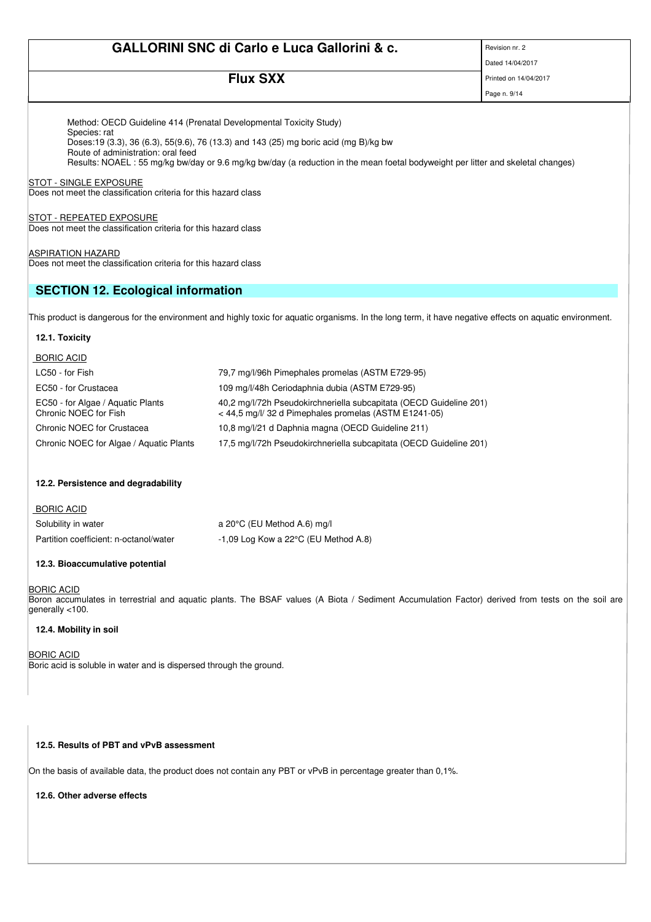**Flux SXX** Printed on 14/04/2017

Page n. 9/14 Method: OECD Guideline 414 (Prenatal Developmental Toxicity Study) Species: rat Doses:19 (3.3), 36 (6.3), 55(9.6), 76 (13.3) and 143 (25) mg boric acid (mg B)/kg bw Route of administration: oral feed Results: NOAEL : 55 mg/kg bw/day or 9.6 mg/kg bw/day (a reduction in the mean foetal bodyweight per litter and skeletal changes) **STOT - SINGLE EXPOSURE** Does not meet the classification criteria for this hazard class STOT - REPEATED EXPOSURE Does not meet the classification criteria for this hazard class **ASPIRATION HAZARD** Does not meet the classification criteria for this hazard class **SECTION 12. Ecological information** This product is dangerous for the environment and highly toxic for aquatic organisms. In the long term, it have negative effects on aquatic environment. **12.1. Toxicity** BORIC ACID LC50 - for Fish 79,7 mg/l/96h Pimephales promelas (ASTM E729-95) EC50 - for Crustacea 109 mg/l/48h Ceriodaphnia dubia (ASTM E729-95) EC50 - for Algae / Aquatic Plants 40,2 mg/l/72h Pseudokirchneriella subcapitata (OECD Guideline 201)<br>
<44.5 mg/l/ 32 d Pimephales promelas (ASTM E1241-05) < 44,5 mg/l/ 32 d Pimephales promelas (ASTM E1241-05) Chronic NOEC for Crustacea 10,8 mg/l/21 d Daphnia magna (OECD Guideline 211) Chronic NOEC for Algae / Aquatic Plants 17,5 mg/l/72h Pseudokirchneriella subcapitata (OECD Guideline 201) **12.2. Persistence and degradability** BORIC ACID Solubility in water a 20°C (EU Method A.6) mg/l Partition coefficient: n-octanol/water -1,09 Log Kow a 22°C (EU Method A.8) **12.3. Bioaccumulative potential BORIC ACID** Boron accumulates in terrestrial and aquatic plants. The BSAF values (A Biota / Sediment Accumulation Factor) derived from tests on the soil are generally <100. **12.4. Mobility in soil**

BORIC ACID

Boric acid is soluble in water and is dispersed through the ground.

## **12.5. Results of PBT and vPvB assessment**

On the basis of available data, the product does not contain any PBT or vPvB in percentage greater than 0,1%.

**12.6. Other adverse effects**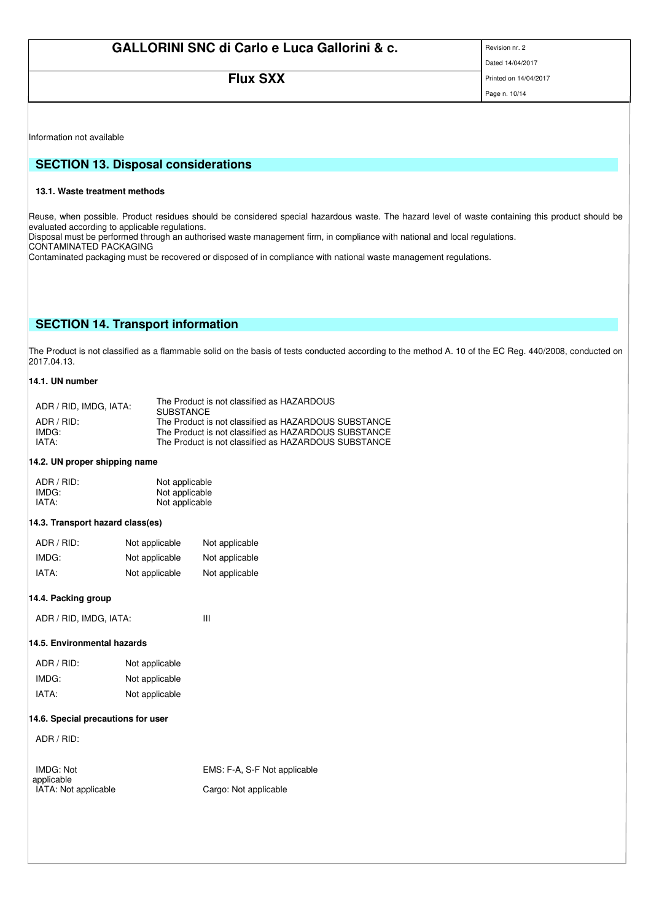# **FILIX SXX** Printed on 14/04/2017

Page n. 10/14

Information not available

# **SECTION 13. Disposal considerations**

## **13.1. Waste treatment methods**

Reuse, when possible. Product residues should be considered special hazardous waste. The hazard level of waste containing this product should be evaluated according to applicable regulations.

Disposal must be performed through an authorised waste management firm, in compliance with national and local regulations.

CONTAMINATED PACKAGING

Contaminated packaging must be recovered or disposed of in compliance with national waste management regulations.

# **SECTION 14. Transport information**

The Product is not classified as a flammable solid on the basis of tests conducted according to the method A. 10 of the EC Reg. 440/2008, conducted on 2017.04.13.

# **14.1. UN number**

| The Product is not classified as HAZARDOUS<br><b>SUBSTANCE</b> |
|----------------------------------------------------------------|
| The Product is not classified as HAZARDOUS SUBSTANCE           |
| The Product is not classified as HAZARDOUS SUBSTANCE           |
| The Product is not classified as HAZARDOUS SUBSTANCE           |
|                                                                |

# **14.2. UN proper shipping name**

| ADR / RID: | Not applicable |
|------------|----------------|
| IMDG:      | Not applicable |
| IATA:      | Not applicable |

# **14.3. Transport hazard class(es)**

| ADR / RID: | Not applicable | Not applicable |
|------------|----------------|----------------|
| IMDG:      | Not applicable | Not applicable |
| IATA:      | Not applicable | Not applicable |

### **14.4. Packing group**

| ADR / RID, IMDG, IATA: |
|------------------------|
|------------------------|

## **14.5. Environmental hazards**

| ADR / RID: | Not applicable |
|------------|----------------|
| IMDG:      | Not applicable |
| IATA:      | Not applicable |

## **14.6. Special precautions for user**

ADR / RID:

| IMDG: Not            | EMS: F-A, S-F Not applicable |
|----------------------|------------------------------|
| applicable           |                              |
| IATA: Not applicable | Cargo: Not applicable        |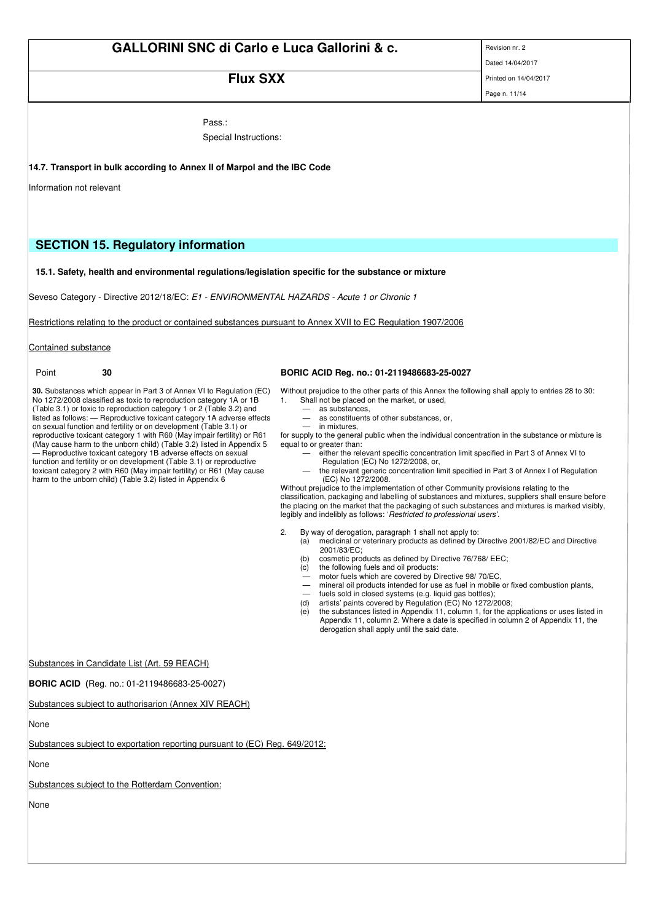**FILIX SXX** Printed on 14/04/2017

Page n. 11/14

Pass.:

Special Instructions:

### **14.7. Transport in bulk according to Annex II of Marpol and the IBC Code**

Information not relevant

# **SECTION 15. Regulatory information**

#### **15.1. Safety, health and environmental regulations/legislation specific for the substance or mixture**

Seveso Category - Directive 2012/18/EC: E1 - ENVIRONMENTAL HAZARDS - Acute 1 or Chronic 1

Restrictions relating to the product or contained substances pursuant to Annex XVII to EC Regulation 1907/2006

Contained substance

**30.** Substances which appear in Part 3 of Annex VI to Regulation (EC) No 1272/2008 classified as toxic to reproduction category 1A or 1B (Table 3.1) or toxic to reproduction category 1 or 2 (Table 3.2) and listed as follows: - Reproductive toxicant category 1A adverse effects on sexual function and fertility or on development (Table 3.1) or reproductive toxicant category 1 with R60 (May impair fertility) or R61 (May cause harm to the unborn child) (Table 3.2) listed in Appendix 5 — Reproductive toxicant category 1B adverse effects on sexual function and fertility or on development (Table 3.1) or reproductive

toxicant category 2 with R60 (May impair fertility) or R61 (May cause harm to the unborn child) (Table 3.2) listed in Appendix 6

#### Point **30 BORIC ACID Reg. no.: 01-2119486683-25-0027**

Without prejudice to the other parts of this Annex the following shall apply to entries 28 to 30: 1. Shall not be placed on the market, or used,

- as substances,
	- as constituents of other substances, or,
- in mixtures,

for supply to the general public when the individual concentration in the substance or mixture is equal to or greater than:

- either the relevant specific concentration limit specified in Part 3 of Annex VI to Regulation (EC) No 1272/2008, or,
- the relevant generic concentration limit specified in Part 3 of Annex I of Regulation (EC) No 1272/2008.
- Without prejudice to the implementation of other Community provisions relating to the

classification, packaging and labelling of substances and mixtures, suppliers shall ensure before the placing on the market that the packaging of such substances and mixtures is marked visibly, legibly and indelibly as follows: 'Restricted to professional users'.

- 2. By way of derogation, paragraph 1 shall not apply to:
	- (a) medicinal or veterinary products as defined by Directive 2001/82/EC and Directive 2001/83/EC;
	- (b) cosmetic products as defined by Directive 76/768/ EEC;
	- (c) the following fuels and oil products:
	- motor fuels which are covered by Directive 98/ 70/EC, — mineral oil products intended for use as fuel in mobile or fixed combustion plants,
	-
	- fuels sold in closed systems (e.g. liquid gas bottles); (d) artists' paints covered by Regulation (EC) No 1272/2008;
	- (e) the substances listed in Appendix 11, column 1, for the applications or uses listed in Appendix 11, column 2. Where a date is specified in column 2 of Appendix 11, the derogation shall apply until the said date.

#### Substances in Candidate List (Art. 59 REACH)

**BORIC ACID (**Reg. no.: 01-2119486683-25-0027)

Substances subject to authorisarion (Annex XIV REACH)

None

Substances subject to exportation reporting pursuant to (EC) Reg. 649/2012:

None

Substances subject to the Rotterdam Convention:

None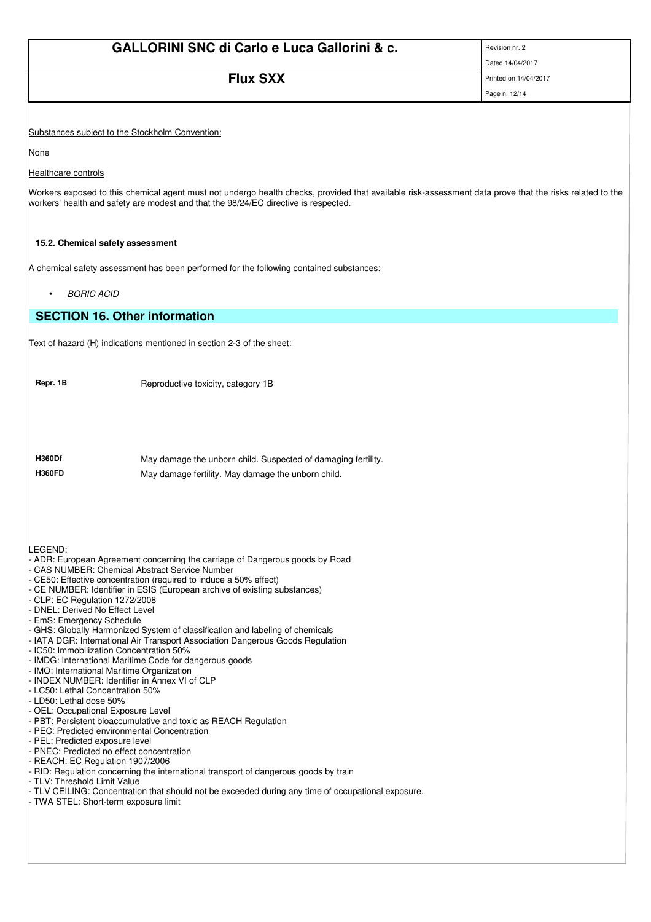|                                                               | <b>GALLORINI SNC di Carlo e Luca Gallorini &amp; c.</b>                                                                                                     | Revision nr. 2                         |
|---------------------------------------------------------------|-------------------------------------------------------------------------------------------------------------------------------------------------------------|----------------------------------------|
|                                                               | <b>Flux SXX</b>                                                                                                                                             | Dated 14/04/2017                       |
|                                                               |                                                                                                                                                             | Printed on 14/04/2017<br>Page n. 12/14 |
|                                                               |                                                                                                                                                             |                                        |
|                                                               | Substances subject to the Stockholm Convention:                                                                                                             |                                        |
| None                                                          |                                                                                                                                                             |                                        |
| Healthcare controls                                           |                                                                                                                                                             |                                        |
|                                                               | Workers exposed to this chemical agent must not undergo health checks, provided that available risk-assessment data prove that the risks related to the     |                                        |
|                                                               | workers' health and safety are modest and that the 98/24/EC directive is respected.                                                                         |                                        |
|                                                               |                                                                                                                                                             |                                        |
| 15.2. Chemical safety assessment                              |                                                                                                                                                             |                                        |
|                                                               | A chemical safety assessment has been performed for the following contained substances:                                                                     |                                        |
| <b>BORIC ACID</b>                                             |                                                                                                                                                             |                                        |
|                                                               | <b>SECTION 16. Other information</b>                                                                                                                        |                                        |
|                                                               | Text of hazard (H) indications mentioned in section 2-3 of the sheet:                                                                                       |                                        |
|                                                               |                                                                                                                                                             |                                        |
| Repr. 1B                                                      | Reproductive toxicity, category 1B                                                                                                                          |                                        |
|                                                               |                                                                                                                                                             |                                        |
|                                                               |                                                                                                                                                             |                                        |
|                                                               |                                                                                                                                                             |                                        |
| <b>H360Df</b>                                                 | May damage the unborn child. Suspected of damaging fertility.                                                                                               |                                        |
| <b>H360FD</b>                                                 | May damage fertility. May damage the unborn child.                                                                                                          |                                        |
|                                                               |                                                                                                                                                             |                                        |
|                                                               |                                                                                                                                                             |                                        |
|                                                               |                                                                                                                                                             |                                        |
| LEGEND:                                                       | ADR: European Agreement concerning the carriage of Dangerous goods by Road                                                                                  |                                        |
|                                                               | <b>CAS NUMBER: Chemical Abstract Service Number</b><br>CE50: Effective concentration (required to induce a 50% effect)                                      |                                        |
|                                                               | CE NUMBER: Identifier in ESIS (European archive of existing substances)                                                                                     |                                        |
| CLP: EC Regulation 1272/2008<br>DNEL: Derived No Effect Level |                                                                                                                                                             |                                        |
| EmS: Emergency Schedule                                       |                                                                                                                                                             |                                        |
|                                                               | GHS: Globally Harmonized System of classification and labeling of chemicals<br>IATA DGR: International Air Transport Association Dangerous Goods Regulation |                                        |
|                                                               | IC50: Immobilization Concentration 50%<br>IMDG: International Maritime Code for dangerous goods                                                             |                                        |
|                                                               | IMO: International Maritime Organization                                                                                                                    |                                        |
| LC50: Lethal Concentration 50%                                | INDEX NUMBER: Identifier in Annex VI of CLP                                                                                                                 |                                        |
| LD50: Lethal dose 50%                                         |                                                                                                                                                             |                                        |
| OEL: Occupational Exposure Level                              | PBT: Persistent bioaccumulative and toxic as REACH Regulation                                                                                               |                                        |
|                                                               | PEC: Predicted environmental Concentration                                                                                                                  |                                        |
| PEL: Predicted exposure level                                 | PNEC: Predicted no effect concentration                                                                                                                     |                                        |
| REACH: EC Regulation 1907/2006                                |                                                                                                                                                             |                                        |
| <b>TLV: Threshold Limit Value</b>                             | RID: Regulation concerning the international transport of dangerous goods by train                                                                          |                                        |
| TWA STEL: Short-term exposure limit                           | TLV CEILING: Concentration that should not be exceeded during any time of occupational exposure.                                                            |                                        |
|                                                               |                                                                                                                                                             |                                        |
|                                                               |                                                                                                                                                             |                                        |
|                                                               |                                                                                                                                                             |                                        |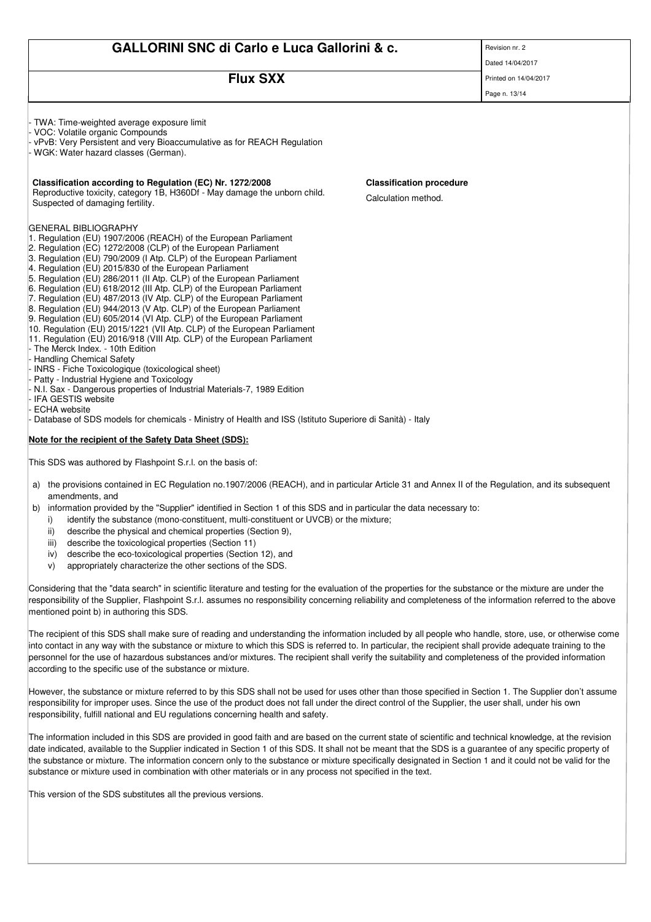# **FILIX SXX** Printed on 14/04/2017

Page n. 13/14

TWA: Time-weighted average exposure limit - VOC: Volatile organic Compounds vPvB: Very Persistent and very Bioaccumulative as for REACH Regulation WGK: Water hazard classes (German). **Classification according to Regulation (EC) Nr. 1272/2008 Classification procedure** Reproductive toxicity, category 1B, H360Df - May damage the unborn child. Reproductive toxicity, category i.b., H360DT - May damage the unborn child.<br>Suspected of damaging fertility. GENERAL BIBLIOGRAPHY 1. Regulation (EU) 1907/2006 (REACH) of the European Parliament 2. Regulation (EC) 1272/2008 (CLP) of the European Parliament 3. Regulation (EU) 790/2009 (I Atp. CLP) of the European Parliament 4. Regulation (EU) 2015/830 of the European Parliament 5. Regulation (EU) 286/2011 (II Atp. CLP) of the European Parliament 6. Regulation (EU) 618/2012 (III Atp. CLP) of the European Parliament 7. Regulation (EU) 487/2013 (IV Atp. CLP) of the European Parliament 8. Regulation (EU) 944/2013 (V Atp. CLP) of the European Parliament 9. Regulation (EU) 605/2014 (VI Atp. CLP) of the European Parliament 10. Regulation (EU) 2015/1221 (VII Atp. CLP) of the European Parliament 11. Regulation (EU) 2016/918 (VIII Atp. CLP) of the European Parliament The Merck Index. - 10th Edition Handling Chemical Safety - INRS - Fiche Toxicologique (toxicological sheet) Patty - Industrial Hygiene and Toxicology - N.I. Sax - Dangerous properties of Industrial Materials-7, 1989 Edition IFA GESTIS website - ECHA website Database of SDS models for chemicals - Ministry of Health and ISS (Istituto Superiore di Sanità) - Italy **Note for the recipient of the Safety Data Sheet (SDS):** This SDS was authored by Flashpoint S.r.l. on the basis of:

- a) the provisions contained in EC Regulation no.1907/2006 (REACH), and in particular Article 31 and Annex II of the Regulation, and its subsequent amendments, and
- b) information provided by the "Supplier" identified in Section 1 of this SDS and in particular the data necessary to:
	- i) identify the substance (mono-constituent, multi-constituent or UVCB) or the mixture;
	- ii) describe the physical and chemical properties (Section 9),
	- iii) describe the toxicological properties (Section 11)
	- iv) describe the eco-toxicological properties (Section 12), and
	- v) appropriately characterize the other sections of the SDS.

Considering that the "data search" in scientific literature and testing for the evaluation of the properties for the substance or the mixture are under the responsibility of the Supplier, Flashpoint S.r.l. assumes no responsibility concerning reliability and completeness of the information referred to the above mentioned point b) in authoring this SDS.

The recipient of this SDS shall make sure of reading and understanding the information included by all people who handle, store, use, or otherwise come into contact in any way with the substance or mixture to which this SDS is referred to. In particular, the recipient shall provide adequate training to the personnel for the use of hazardous substances and/or mixtures. The recipient shall verify the suitability and completeness of the provided information according to the specific use of the substance or mixture.

However, the substance or mixture referred to by this SDS shall not be used for uses other than those specified in Section 1. The Supplier don't assume responsibility for improper uses. Since the use of the product does not fall under the direct control of the Supplier, the user shall, under his own responsibility, fulfill national and EU regulations concerning health and safety.

The information included in this SDS are provided in good faith and are based on the current state of scientific and technical knowledge, at the revision date indicated, available to the Supplier indicated in Section 1 of this SDS. It shall not be meant that the SDS is a guarantee of any specific property of the substance or mixture. The information concern only to the substance or mixture specifically designated in Section 1 and it could not be valid for the substance or mixture used in combination with other materials or in any process not specified in the text.

This version of the SDS substitutes all the previous versions.